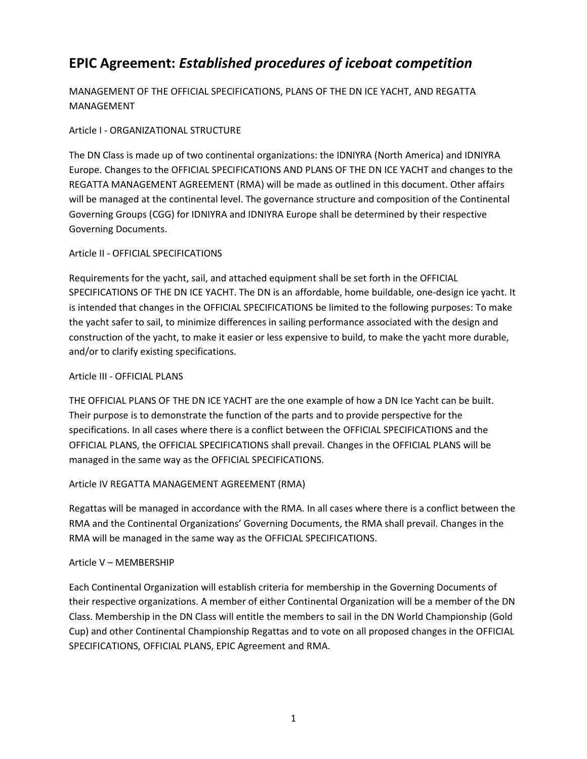# **EPIC Agreement:** *Established procedures of iceboat competition*

MANAGEMENT OF THE OFFICIAL SPECIFICATIONS, PLANS OF THE DN ICE YACHT, AND REGATTA MANAGEMENT

# Article I - ORGANIZATIONAL STRUCTURE

The DN Class is made up of two continental organizations: the IDNIYRA (North America) and IDNIYRA Europe. Changes to the OFFICIAL SPECIFICATIONS AND PLANS OF THE DN ICE YACHT and changes to the REGATTA MANAGEMENT AGREEMENT (RMA) will be made as outlined in this document. Other affairs will be managed at the continental level. The governance structure and composition of the Continental Governing Groups (CGG) for IDNIYRA and IDNIYRA Europe shall be determined by their respective Governing Documents.

# Article II - OFFICIAL SPECIFICATIONS

Requirements for the yacht, sail, and attached equipment shall be set forth in the OFFICIAL SPECIFICATIONS OF THE DN ICE YACHT. The DN is an affordable, home buildable, one-design ice yacht. It is intended that changes in the OFFICIAL SPECIFICATIONS be limited to the following purposes: To make the yacht safer to sail, to minimize differences in sailing performance associated with the design and construction of the yacht, to make it easier or less expensive to build, to make the yacht more durable, and/or to clarify existing specifications.

## Article III - OFFICIAL PLANS

THE OFFICIAL PLANS OF THE DN ICE YACHT are the one example of how a DN Ice Yacht can be built. Their purpose is to demonstrate the function of the parts and to provide perspective for the specifications. In all cases where there is a conflict between the OFFICIAL SPECIFICATIONS and the OFFICIAL PLANS, the OFFICIAL SPECIFICATIONS shall prevail. Changes in the OFFICIAL PLANS will be managed in the same way as the OFFICIAL SPECIFICATIONS.

## Article IV REGATTA MANAGEMENT AGREEMENT (RMA)

Regattas will be managed in accordance with the RMA. In all cases where there is a conflict between the RMA and the Continental Organizations' Governing Documents, the RMA shall prevail. Changes in the RMA will be managed in the same way as the OFFICIAL SPECIFICATIONS.

## Article V – MEMBERSHIP

Each Continental Organization will establish criteria for membership in the Governing Documents of their respective organizations. A member of either Continental Organization will be a member of the DN Class. Membership in the DN Class will entitle the members to sail in the DN World Championship (Gold Cup) and other Continental Championship Regattas and to vote on all proposed changes in the OFFICIAL SPECIFICATIONS, OFFICIAL PLANS, EPIC Agreement and RMA.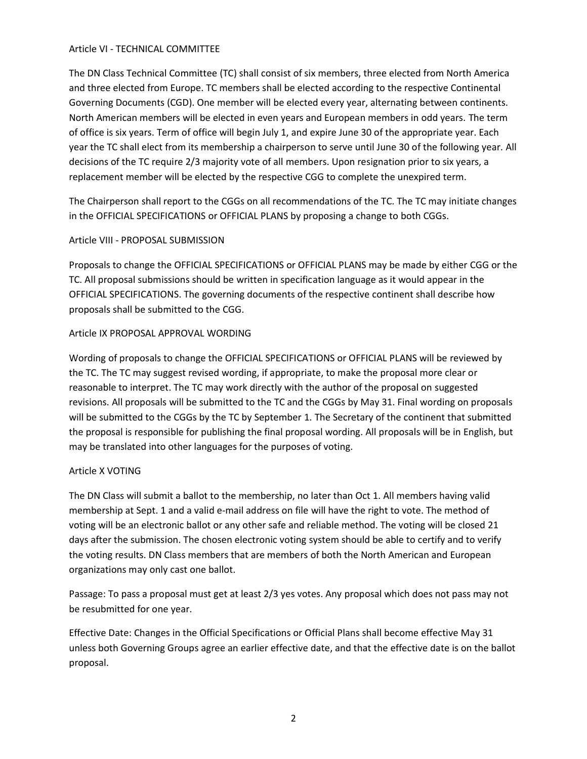## Article VI - TECHNICAL COMMITTEE

The DN Class Technical Committee (TC) shall consist of six members, three elected from North America and three elected from Europe. TC members shall be elected according to the respective Continental Governing Documents (CGD). One member will be elected every year, alternating between continents. North American members will be elected in even years and European members in odd years. The term of office is six years. Term of office will begin July 1, and expire June 30 of the appropriate year. Each year the TC shall elect from its membership a chairperson to serve until June 30 of the following year. All decisions of the TC require 2/3 majority vote of all members. Upon resignation prior to six years, a replacement member will be elected by the respective CGG to complete the unexpired term.

The Chairperson shall report to the CGGs on all recommendations of the TC. The TC may initiate changes in the OFFICIAL SPECIFICATIONS or OFFICIAL PLANS by proposing a change to both CGGs.

## Article VIII - PROPOSAL SUBMISSION

Proposals to change the OFFICIAL SPECIFICATIONS or OFFICIAL PLANS may be made by either CGG or the TC. All proposal submissions should be written in specification language as it would appear in the OFFICIAL SPECIFICATIONS. The governing documents of the respective continent shall describe how proposals shall be submitted to the CGG.

## Article IX PROPOSAL APPROVAL WORDING

Wording of proposals to change the OFFICIAL SPECIFICATIONS or OFFICIAL PLANS will be reviewed by the TC. The TC may suggest revised wording, if appropriate, to make the proposal more clear or reasonable to interpret. The TC may work directly with the author of the proposal on suggested revisions. All proposals will be submitted to the TC and the CGGs by May 31. Final wording on proposals will be submitted to the CGGs by the TC by September 1. The Secretary of the continent that submitted the proposal is responsible for publishing the final proposal wording. All proposals will be in English, but may be translated into other languages for the purposes of voting.

# Article X VOTING

The DN Class will submit a ballot to the membership, no later than Oct 1. All members having valid membership at Sept. 1 and a valid e-mail address on file will have the right to vote. The method of voting will be an electronic ballot or any other safe and reliable method. The voting will be closed 21 days after the submission. The chosen electronic voting system should be able to certify and to verify the voting results. DN Class members that are members of both the North American and European organizations may only cast one ballot.

Passage: To pass a proposal must get at least 2/3 yes votes. Any proposal which does not pass may not be resubmitted for one year.

Effective Date: Changes in the Official Specifications or Official Plans shall become effective May 31 unless both Governing Groups agree an earlier effective date, and that the effective date is on the ballot proposal.